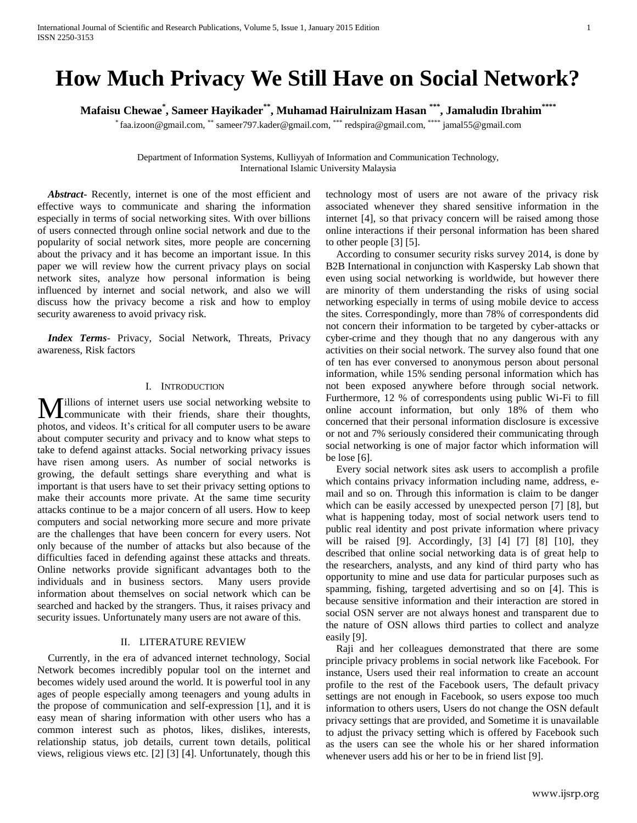# **How Much Privacy We Still Have on Social Network?**

**Mafaisu Chewae\* , Sameer Hayikader\*\* , Muhamad Hairulnizam Hasan \*\*\* , Jamaludin Ibrahim\*\*\*\***

\* faa.izoon@gmail.com, \*\* sameer797.kader@gmail.com, \*\*\* redspira@gmail.com, \*\*\*\* jamal55@gmail.com

Department of Information Systems, Kulliyyah of Information and Communication Technology, International Islamic University Malaysia

 *Abstract***-** Recently, internet is one of the most efficient and effective ways to communicate and sharing the information especially in terms of social networking sites. With over billions of users connected through online social network and due to the popularity of social network sites, more people are concerning about the privacy and it has become an important issue. In this paper we will review how the current privacy plays on social network sites, analyze how personal information is being influenced by internet and social network, and also we will discuss how the privacy become a risk and how to employ security awareness to avoid privacy risk.

 *Index Terms*- Privacy, Social Network, Threats, Privacy awareness, Risk factors

#### I. INTRODUCTION

illions of internet users use social networking website to **M**illions of internet users use social networking website to communicate with their friends, share their thoughts, photos, and videos. It's critical for all computer users to be aware about computer security and privacy and to know what steps to take to defend against attacks. Social networking privacy issues have risen among users. As number of social networks is growing, the default settings share everything and what is important is that users have to set their privacy setting options to make their accounts more private. At the same time security attacks continue to be a major concern of all users. How to keep computers and social networking more secure and more private are the challenges that have been concern for every users. Not only because of the number of attacks but also because of the difficulties faced in defending against these attacks and threats. Online networks provide significant advantages both to the individuals and in business sectors. Many users provide information about themselves on social network which can be searched and hacked by the strangers. Thus, it raises privacy and security issues. Unfortunately many users are not aware of this.

#### II. LITERATURE REVIEW

 Currently, in the era of advanced internet technology, Social Network becomes incredibly popular tool on the internet and becomes widely used around the world. It is powerful tool in any ages of people especially among teenagers and young adults in the propose of communication and self-expression [1], and it is easy mean of sharing information with other users who has a common interest such as photos, likes, dislikes, interests, relationship status, job details, current town details, political views, religious views etc. [2] [3] [4]. Unfortunately, though this

technology most of users are not aware of the privacy risk associated whenever they shared sensitive information in the internet [4], so that privacy concern will be raised among those online interactions if their personal information has been shared to other people [3] [5].

 According to consumer security risks survey 2014, is done by B2B International in conjunction with Kaspersky Lab shown that even using social networking is worldwide, but however there are minority of them understanding the risks of using social networking especially in terms of using mobile device to access the sites. Correspondingly, more than 78% of correspondents did not concern their information to be targeted by cyber-attacks or cyber-crime and they though that no any dangerous with any activities on their social network. The survey also found that one of ten has ever conversed to anonymous person about personal information, while 15% sending personal information which has not been exposed anywhere before through social network. Furthermore, 12 % of correspondents using public Wi-Fi to fill online account information, but only 18% of them who concerned that their personal information disclosure is excessive or not and 7% seriously considered their communicating through social networking is one of major factor which information will be lose [6].

 Every social network sites ask users to accomplish a profile which contains privacy information including name, address, email and so on. Through this information is claim to be danger which can be easily accessed by unexpected person [7] [8], but what is happening today, most of social network users tend to public real identity and post private information where privacy will be raised [9]. Accordingly, [3] [4] [7] [8] [10], they described that online social networking data is of great help to the researchers, analysts, and any kind of third party who has opportunity to mine and use data for particular purposes such as spamming, fishing, targeted advertising and so on [4]. This is because sensitive information and their interaction are stored in social OSN server are not always honest and transparent due to the nature of OSN allows third parties to collect and analyze easily [9].

 Raji and her colleagues demonstrated that there are some principle privacy problems in social network like Facebook. For instance, Users used their real information to create an account profile to the rest of the Facebook users, The default privacy settings are not enough in Facebook, so users expose too much information to others users, Users do not change the OSN default privacy settings that are provided, and Sometime it is unavailable to adjust the privacy setting which is offered by Facebook such as the users can see the whole his or her shared information whenever users add his or her to be in friend list [9].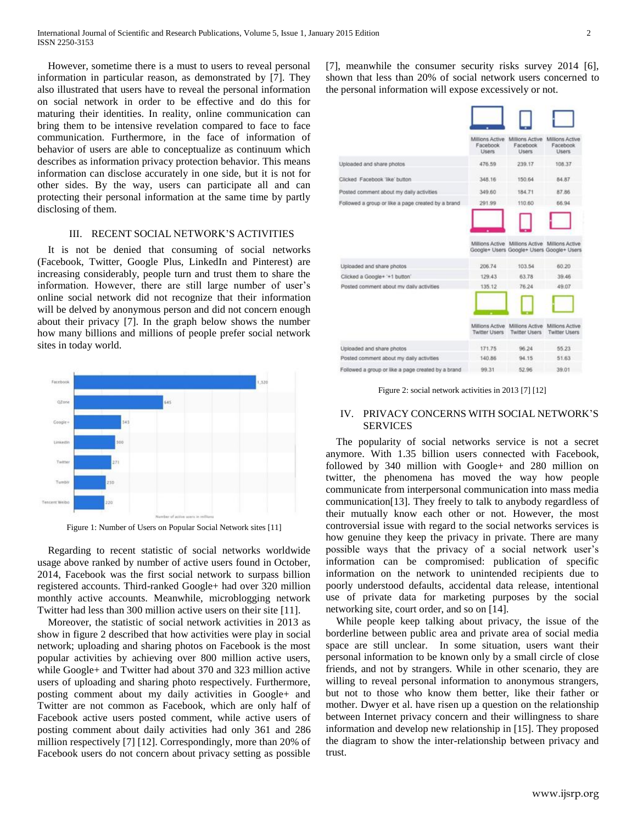However, sometime there is a must to users to reveal personal information in particular reason, as demonstrated by [7]. They also illustrated that users have to reveal the personal information on social network in order to be effective and do this for maturing their identities. In reality, online communication can bring them to be intensive revelation compared to face to face communication. Furthermore, in the face of information of behavior of users are able to conceptualize as continuum which describes as information privacy protection behavior. This means information can disclose accurately in one side, but it is not for other sides. By the way, users can participate all and can protecting their personal information at the same time by partly disclosing of them.

# III. RECENT SOCIAL NETWORK'S ACTIVITIES

 It is not be denied that consuming of social networks (Facebook, Twitter, Google Plus, LinkedIn and Pinterest) are increasing considerably, people turn and trust them to share the information. However, there are still large number of user's online social network did not recognize that their information will be delved by anonymous person and did not concern enough about their privacy [7]. In the graph below shows the number how many billions and millions of people prefer social network sites in today world.



Figure 1: Number of Users on Popular Social Network sites [11]

 Regarding to recent statistic of social networks worldwide usage above ranked by number of active users found in October, 2014, Facebook was the first social network to surpass billion registered accounts. Third-ranked Google+ had over 320 million monthly active accounts. Meanwhile, microblogging network Twitter had less than 300 million active users on their site [11].

 Moreover, the statistic of social network activities in 2013 as show in figure 2 described that how activities were play in social network; uploading and sharing photos on Facebook is the most popular activities by achieving over 800 million active users, while Google+ and Twitter had about 370 and 323 million active users of uploading and sharing photo respectively. Furthermore, posting comment about my daily activities in Google+ and Twitter are not common as Facebook, which are only half of Facebook active users posted comment, while active users of posting comment about daily activities had only 361 and 286 million respectively [7] [12]. Correspondingly, more than 20% of Facebook users do not concern about privacy setting as possible

[7], meanwhile the consumer security risks survey 2014 [6], shown that less than 20% of social network users concerned to the personal information will expose excessively or not.

|                                                    | Millions Active<br>Facebook<br>Users    | Millions Active<br>Facebook<br>Users    | Millions Active<br>Facebook<br><b>Users</b> |
|----------------------------------------------------|-----------------------------------------|-----------------------------------------|---------------------------------------------|
| Uploaded and share photos                          | 476.59                                  | 239.17                                  | 108.37                                      |
| Clicked Facebook 'like' button                     | 348.16                                  | 150.64                                  | 84.87                                       |
| Posted comment about my daily activities           | 349.60                                  | 184.71                                  | 87.86                                       |
| Followed a group or like a page created by a brand | 291.99                                  | 110.60                                  | 66.94                                       |
| Uploaded and share photos                          | 206.74                                  | 103.54                                  | 60.20                                       |
|                                                    |                                         |                                         |                                             |
| Clicked a Google+ '+1 button'                      | 129.43                                  | 63.78                                   | 39.46                                       |
| Posted comment about my daily activities           | 135.12                                  | 76.24                                   | 49.07                                       |
|                                                    | Millions Active<br><b>Twitter Users</b> | Millions Active<br><b>Twitter Users</b> | Millions Active<br><b>Twitter Users</b>     |
| Uploaded and share photos                          | 171.75                                  | 96.24                                   | 55.23                                       |
| Posted comment about my daily activities           | 140.86                                  | 94.15                                   | 51.63                                       |
| Followed a group or like a page created by a brand | 99.31                                   | 52.96                                   | 39.01                                       |

Figure 2: social network activities in 2013 [7] [12]

### IV. PRIVACY CONCERNS WITH SOCIAL NETWORK'S **SERVICES**

 The popularity of social networks service is not a secret anymore. With 1.35 billion users connected with Facebook, followed by 340 million with Google+ and 280 million on twitter, the phenomena has moved the way how people communicate from interpersonal communication into mass media communication[13]. They freely to talk to anybody regardless of their mutually know each other or not. However, the most controversial issue with regard to the social networks services is how genuine they keep the privacy in private. There are many possible ways that the privacy of a social network user's information can be compromised: publication of specific information on the network to unintended recipients due to poorly understood defaults, accidental data release, intentional use of private data for marketing purposes by the social networking site, court order, and so on [14].

 While people keep talking about privacy, the issue of the borderline between public area and private area of social media space are still unclear. In some situation, users want their personal information to be known only by a small circle of close friends, and not by strangers. While in other scenario, they are willing to reveal personal information to anonymous strangers, but not to those who know them better, like their father or mother. Dwyer et al. have risen up a question on the relationship between Internet privacy concern and their willingness to share information and develop new relationship in [15]. They proposed the diagram to show the inter-relationship between privacy and trust.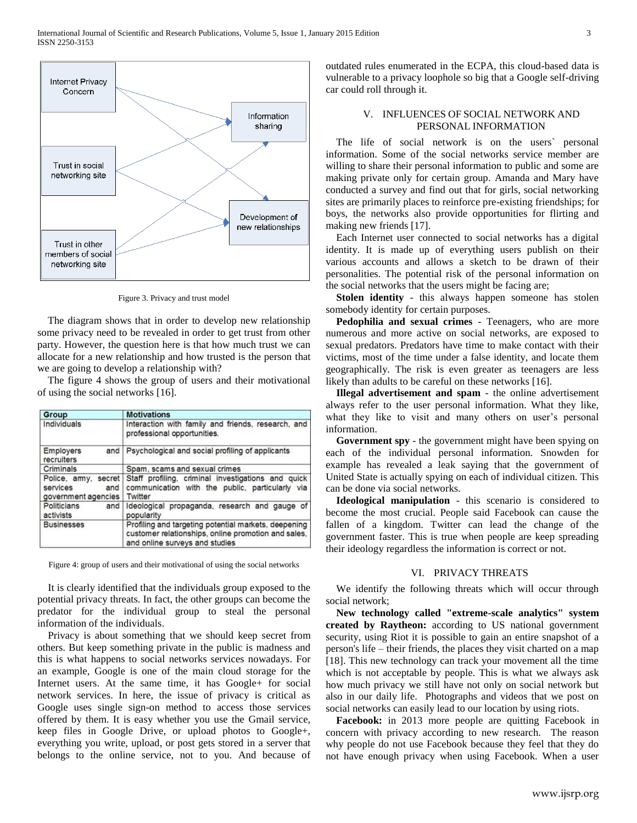

Figure 3. Privacy and trust model

 The diagram shows that in order to develop new relationship some privacy need to be revealed in order to get trust from other party. However, the question here is that how much trust we can allocate for a new relationship and how trusted is the person that we are going to develop a relationship with?

 The figure 4 shows the group of users and their motivational of using the social networks [16].

| Group                                                         | <b>Motivations</b>                                                                                                                            |  |  |
|---------------------------------------------------------------|-----------------------------------------------------------------------------------------------------------------------------------------------|--|--|
| Individuals                                                   | Interaction with family and friends, research, and<br>professional opportunities.                                                             |  |  |
| Employers<br>recruiters                                       | and   Psychological and social profiling of applicants                                                                                        |  |  |
| Criminals                                                     | Spam, scams and sexual crimes                                                                                                                 |  |  |
| Police, amy, secret<br>services<br>and<br>government agencies | Staff profiling, criminal investigations and quick<br>communication with the public, particularly via<br>Twitter                              |  |  |
| Politicians<br>and<br>activists                               | Ideological propaganda, research and gauge of<br>popularity                                                                                   |  |  |
| <b>Businesses</b>                                             | Profiling and targeting potential markets, deepening<br>customer relationships, online promotion and sales,<br>and online surveys and studies |  |  |

Figure 4: group of users and their motivational of using the social networks

 It is clearly identified that the individuals group exposed to the potential privacy threats. In fact, the other groups can become the predator for the individual group to steal the personal information of the individuals.

 Privacy is about something that we should keep secret from others. But keep something private in the public is madness and this is what happens to social networks services nowadays. For an example, Google is one of the main cloud storage for the Internet users. At the same time, it has Google+ for social network services. In here, the issue of privacy is critical as Google uses single sign-on method to access those services offered by them. It is easy whether you use the Gmail service, keep files in Google Drive, or upload photos to Google+, everything you write, upload, or post gets stored in a server that belongs to the online service, not to you. And because of outdated rules enumerated in the ECPA, this cloud-based data is vulnerable to a privacy loophole so big that a Google self-driving car could roll through it.

# V. INFLUENCES OF SOCIAL NETWORK AND PERSONAL INFORMATION

 The life of social network is on the users` personal information. Some of the social networks service member are willing to share their personal information to public and some are making private only for certain group. Amanda and Mary have conducted a survey and find out that for girls, social networking sites are primarily places to reinforce pre-existing friendships; for boys, the networks also provide opportunities for flirting and making new friends [17].

 Each Internet user connected to social networks has a digital identity. It is made up of everything users publish on their various accounts and allows a sketch to be drawn of their personalities. The potential risk of the personal information on the social networks that the users might be facing are;

 **Stolen identity** - this always happen someone has stolen somebody identity for certain purposes.

 **Pedophilia and sexual crimes** - Teenagers, who are more numerous and more active on social networks, are exposed to sexual predators. Predators have time to make contact with their victims, most of the time under a false identity, and locate them geographically. The risk is even greater as teenagers are less likely than adults to be careful on these networks [16].

 **Illegal advertisement and spam** - the online advertisement always refer to the user personal information. What they like, what they like to visit and many others on user's personal information.

 **Government spy** - the government might have been spying on each of the individual personal information. Snowden for example has revealed a leak saying that the government of United State is actually spying on each of individual citizen. This can be done via social networks.

 **Ideological manipulation** - this scenario is considered to become the most crucial. People said Facebook can cause the fallen of a kingdom. Twitter can lead the change of the government faster. This is true when people are keep spreading their ideology regardless the information is correct or not.

#### VI. PRIVACY THREATS

 We identify the following threats which will occur through social network;

 **New technology called "extreme-scale analytics" system created by Raytheon:** according to US national government security, using Riot it is possible to gain an entire snapshot of a person's life – their friends, the places they visit charted on a map [18]. This new technology can track your movement all the time which is not acceptable by people. This is what we always ask how much privacy we still have not only on social network but also in our daily life. Photographs and videos that we post on social networks can easily lead to our location by using riots.

 **Facebook:** in 2013 more people are quitting Facebook in concern with privacy according to new research. The reason why people do not use Facebook because they feel that they do not have enough privacy when using Facebook. When a user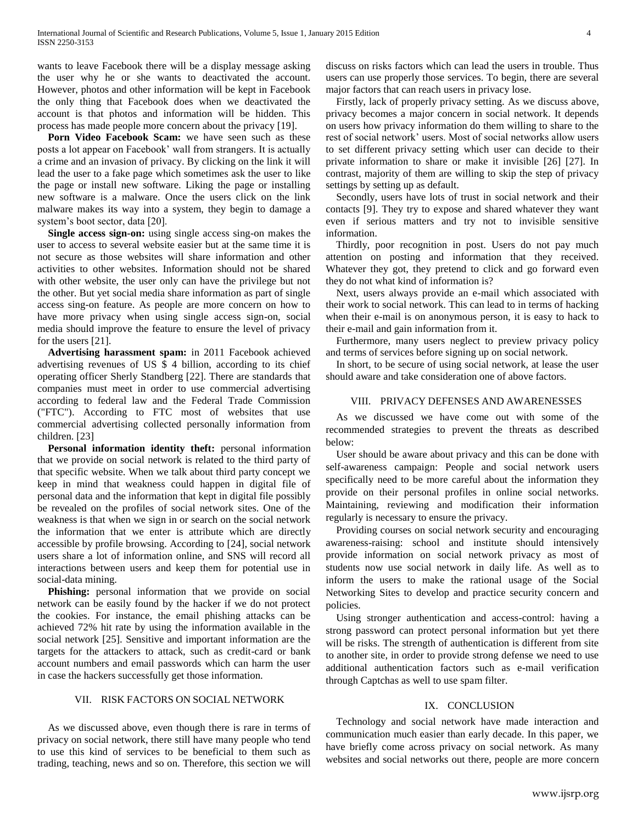wants to leave Facebook there will be a display message asking the user why he or she wants to deactivated the account. However, photos and other information will be kept in Facebook the only thing that Facebook does when we deactivated the account is that photos and information will be hidden. This process has made people more concern about the privacy [19].

 **Porn Video Facebook Scam:** we have seen such as these posts a lot appear on Facebook' wall from strangers. It is actually a crime and an invasion of privacy. By clicking on the link it will lead the user to a fake page which sometimes ask the user to like the page or install new software. Liking the page or installing new software is a malware. Once the users click on the link malware makes its way into a system, they begin to damage a system's boot sector, data [20].

**Single access sign-on:** using single access sing-on makes the user to access to several website easier but at the same time it is not secure as those websites will share information and other activities to other websites. Information should not be shared with other website, the user only can have the privilege but not the other. But yet social media share information as part of single access sing-on feature. As people are more concern on how to have more privacy when using single access sign-on, social media should improve the feature to ensure the level of privacy for the users [21].

 **Advertising harassment spam:** in 2011 Facebook achieved advertising revenues of US \$ 4 billion, according to its chief operating officer Sherly Standberg [22]. There are standards that companies must meet in order to use commercial advertising according to federal law and the Federal Trade Commission ("FTC"). According to FTC most of websites that use commercial advertising collected personally information from children. [23]

 **Personal information identity theft:** personal information that we provide on social network is related to the third party of that specific website. When we talk about third party concept we keep in mind that weakness could happen in digital file of personal data and the information that kept in digital file possibly be revealed on the profiles of social network sites. One of the weakness is that when we sign in or search on the social network the information that we enter is attribute which are directly accessible by profile browsing. According to [24], social network users share a lot of information online, and SNS will record all interactions between users and keep them for potential use in social-data mining.

 **Phishing:** personal information that we provide on social network can be easily found by the hacker if we do not protect the cookies. For instance, the email phishing attacks can be achieved 72% hit rate by using the information available in the social network [25]. Sensitive and important information are the targets for the attackers to attack, such as credit-card or bank account numbers and email passwords which can harm the user in case the hackers successfully get those information.

#### VII. RISK FACTORS ON SOCIAL NETWORK

As we discussed above, even though there is rare in terms of privacy on social network, there still have many people who tend to use this kind of services to be beneficial to them such as trading, teaching, news and so on. Therefore, this section we will

discuss on risks factors which can lead the users in trouble. Thus users can use properly those services. To begin, there are several major factors that can reach users in privacy lose.

 Firstly, lack of properly privacy setting. As we discuss above, privacy becomes a major concern in social network. It depends on users how privacy information do them willing to share to the rest of social network' users. Most of social networks allow users to set different privacy setting which user can decide to their private information to share or make it invisible [26] [27]. In contrast, majority of them are willing to skip the step of privacy settings by setting up as default.

 Secondly, users have lots of trust in social network and their contacts [9]. They try to expose and shared whatever they want even if serious matters and try not to invisible sensitive information.

 Thirdly, poor recognition in post. Users do not pay much attention on posting and information that they received. Whatever they got, they pretend to click and go forward even they do not what kind of information is?

 Next, users always provide an e-mail which associated with their work to social network. This can lead to in terms of hacking when their e-mail is on anonymous person, it is easy to hack to their e-mail and gain information from it.

 Furthermore, many users neglect to preview privacy policy and terms of services before signing up on social network.

 In short, to be secure of using social network, at lease the user should aware and take consideration one of above factors.

# VIII. PRIVACY DEFENSES AND AWARENESSES

As we discussed we have come out with some of the recommended strategies to prevent the threats as described below:

User should be aware about privacy and this can be done with self-awareness campaign: People and social network users specifically need to be more careful about the information they provide on their personal profiles in online social networks. Maintaining, reviewing and modification their information regularly is necessary to ensure the privacy.

Providing courses on social network security and encouraging awareness-raising: school and institute should intensively provide information on social network privacy as most of students now use social network in daily life. As well as to inform the users to make the rational usage of the Social Networking Sites to develop and practice security concern and policies.

Using stronger authentication and access-control: having a strong password can protect personal information but yet there will be risks. The strength of authentication is different from site to another site, in order to provide strong defense we need to use additional authentication factors such as e-mail verification through Captchas as well to use spam filter.

#### IX. CONCLUSION

Technology and social network have made interaction and communication much easier than early decade. In this paper, we have briefly come across privacy on social network. As many websites and social networks out there, people are more concern